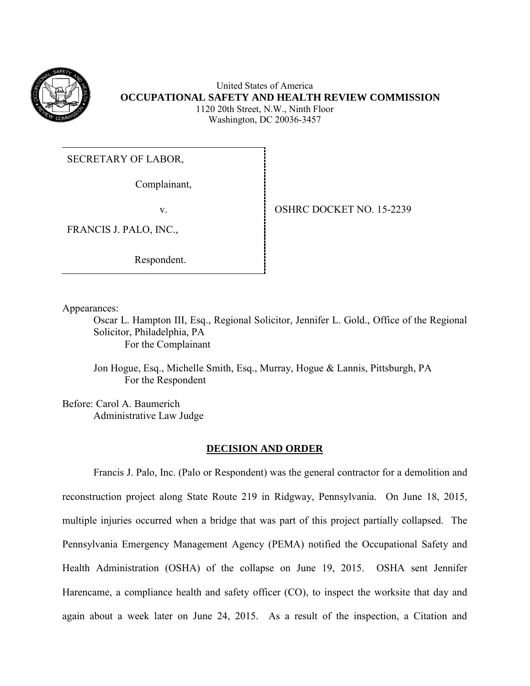

United States of America **OCCUPATIONAL SAFETY AND HEALTH REVIEW COMMISSION** 1120 20th Street, N.W., Ninth Floor Washington, DC 20036-3457

# SECRETARY OF LABOR,

Complainant,

FRANCIS J. PALO, INC.,

Respondent.

v.OSHRC DOCKET NO. 15-2239

Appearances:

Oscar L. Hampton III, Esq., Regional Solicitor, Jennifer L. Gold., Office of the Regional Solicitor, Philadelphia, PA For the Complainant

Jon Hogue, Esq., Michelle Smith, Esq., Murray, Hogue & Lannis, Pittsburgh, PA For the Respondent

Before: Carol A. Baumerich Administrative Law Judge

### **DECISION AND ORDER**

Francis J. Palo, Inc. (Palo or Respondent) was the general contractor for a demolition and reconstruction project along State Route 219 in Ridgway, Pennsylvania. On June 18, 2015, multiple injuries occurred when a bridge that was part of this project partially collapsed. The Pennsylvania Emergency Management Agency (PEMA) notified the Occupational Safety and Health Administration (OSHA) of the collapse on June 19, 2015. OSHA sent Jennifer Harencame, a compliance health and safety officer (CO), to inspect the worksite that day and again about a week later on June 24, 2015. As a result of the inspection, a Citation and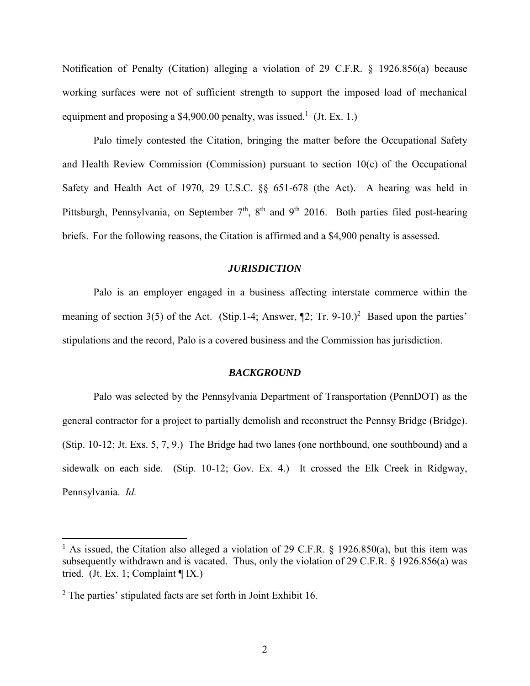Notification of Penalty (Citation) alleging a violation of 29 C.F.R. § 1926.856(a) because working surfaces were not of sufficient strength to support the imposed load of mechanical equipment and proposing a \$4,900.00 penalty, was issued.<sup>1</sup> (Jt. Ex. 1.)

Palo timely contested the Citation, bringing the matter before the Occupational Safety and Health Review Commission (Commission) pursuant to section 10(c) of the Occupational Safety and Health Act of 1970, 29 U.S.C. §§ 651-678 (the Act). A hearing was held in Pittsburgh, Pennsylvania, on September 7<sup>th</sup>, 8<sup>th</sup> and 9<sup>th</sup> 2016. Both parties filed post-hearing briefs. For the following reasons, the Citation is affirmed and a \$4,900 penalty is assessed.

# *JURISDICTION*

Palo is an employer engaged in a business affecting interstate commerce within the meaning of section  $3(5)$  of the Act. (Stip.1-4; Answer,  $[2; Tr. 9-10.2]$ <sup>2</sup> Based upon the parties' stipulations and the record, Palo is a covered business and the Commission has jurisdiction.

#### *BACKGROUND*

Palo was selected by the Pennsylvania Department of Transportation (PennDOT) as the general contractor for a project to partially demolish and reconstruct the Pennsy Bridge (Bridge). (Stip. 10-12; Jt. Exs. 5, 7, 9.) The Bridge had two lanes (one northbound, one southbound) and a sidewalk on each side. (Stip. 10-12; Gov. Ex. 4.) It crossed the Elk Creek in Ridgway, Pennsylvania. *Id.*

<sup>&</sup>lt;sup>1</sup> As issued, the Citation also alleged a violation of 29 C.F.R.  $\frac{1}{2}$  1926.850(a), but this item was subsequently withdrawn and is vacated. Thus, only the violation of 29 C.F.R. § 1926.856(a) was tried. (Jt. Ex. 1; Complaint ¶ IX.)

<sup>2</sup> The parties' stipulated facts are set forth in Joint Exhibit 16.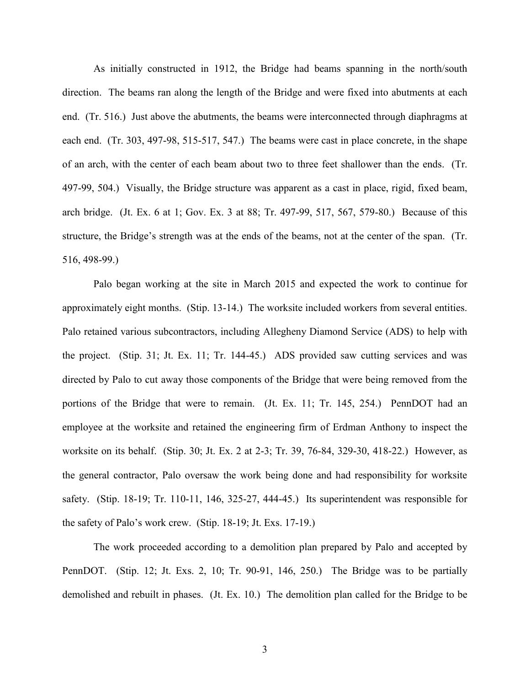As initially constructed in 1912, the Bridge had beams spanning in the north/south direction. The beams ran along the length of the Bridge and were fixed into abutments at each end. (Tr. 516.) Just above the abutments, the beams were interconnected through diaphragms at each end. (Tr. 303, 497-98, 515-517, 547.) The beams were cast in place concrete, in the shape of an arch, with the center of each beam about two to three feet shallower than the ends. (Tr. 497-99, 504.) Visually, the Bridge structure was apparent as a cast in place, rigid, fixed beam, arch bridge. (Jt. Ex. 6 at 1; Gov. Ex. 3 at 88; Tr. 497-99, 517, 567, 579-80.) Because of this structure, the Bridge's strength was at the ends of the beams, not at the center of the span. (Tr. 516, 498-99.)

Palo began working at the site in March 2015 and expected the work to continue for approximately eight months. (Stip. 13-14.) The worksite included workers from several entities. Palo retained various subcontractors, including Allegheny Diamond Service (ADS) to help with the project. (Stip. 31; Jt. Ex. 11; Tr. 144-45.) ADS provided saw cutting services and was directed by Palo to cut away those components of the Bridge that were being removed from the portions of the Bridge that were to remain. (Jt. Ex. 11; Tr. 145, 254.) PennDOT had an employee at the worksite and retained the engineering firm of Erdman Anthony to inspect the worksite on its behalf. (Stip. 30; Jt. Ex. 2 at 2-3; Tr. 39, 76-84, 329-30, 418-22.) However, as the general contractor, Palo oversaw the work being done and had responsibility for worksite safety. (Stip. 18-19; Tr. 110-11, 146, 325-27, 444-45.) Its superintendent was responsible for the safety of Palo's work crew. (Stip. 18-19; Jt. Exs. 17-19.)

The work proceeded according to a demolition plan prepared by Palo and accepted by PennDOT. (Stip. 12; Jt. Exs. 2, 10; Tr. 90-91, 146, 250.) The Bridge was to be partially demolished and rebuilt in phases. (Jt. Ex. 10.) The demolition plan called for the Bridge to be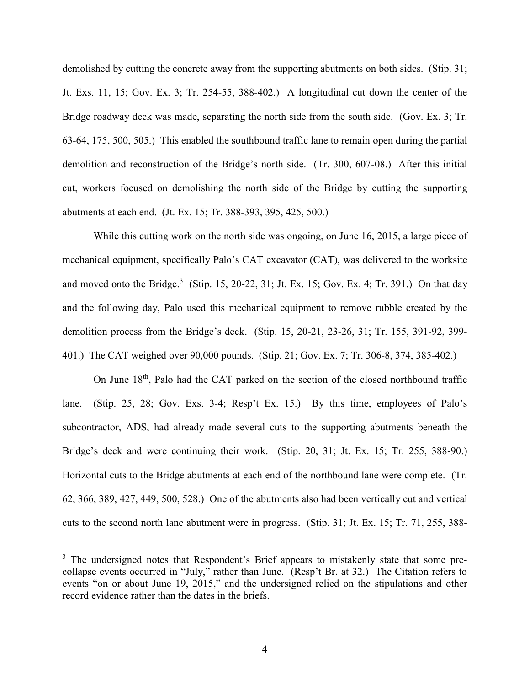demolished by cutting the concrete away from the supporting abutments on both sides. (Stip. 31; Jt. Exs. 11, 15; Gov. Ex. 3; Tr. 254-55, 388-402.) A longitudinal cut down the center of the Bridge roadway deck was made, separating the north side from the south side. (Gov. Ex. 3; Tr. 63-64, 175, 500, 505.) This enabled the southbound traffic lane to remain open during the partial demolition and reconstruction of the Bridge's north side. (Tr. 300, 607-08.) After this initial cut, workers focused on demolishing the north side of the Bridge by cutting the supporting abutments at each end. (Jt. Ex. 15; Tr. 388-393, 395, 425, 500.)

While this cutting work on the north side was ongoing, on June 16, 2015, a large piece of mechanical equipment, specifically Palo's CAT excavator (CAT), was delivered to the worksite and moved onto the Bridge.<sup>3</sup> (Stip. 15, 20-22, 31; Jt. Ex. 15; Gov. Ex. 4; Tr. 391.) On that day and the following day, Palo used this mechanical equipment to remove rubble created by the demolition process from the Bridge's deck. (Stip. 15, 20-21, 23-26, 31; Tr. 155, 391-92, 399- 401.) The CAT weighed over 90,000 pounds. (Stip. 21; Gov. Ex. 7; Tr. 306-8, 374, 385-402.)

On June 18<sup>th</sup>, Palo had the CAT parked on the section of the closed northbound traffic lane. (Stip. 25, 28; Gov. Exs. 3-4; Resp't Ex. 15.) By this time, employees of Palo's subcontractor, ADS, had already made several cuts to the supporting abutments beneath the Bridge's deck and were continuing their work. (Stip. 20, 31; Jt. Ex. 15; Tr. 255, 388-90.) Horizontal cuts to the Bridge abutments at each end of the northbound lane were complete. (Tr. 62, 366, 389, 427, 449, 500, 528.) One of the abutments also had been vertically cut and vertical cuts to the second north lane abutment were in progress. (Stip. 31; Jt. Ex. 15; Tr. 71, 255, 388-

<sup>&</sup>lt;sup>3</sup> The undersigned notes that Respondent's Brief appears to mistakenly state that some precollapse events occurred in "July," rather than June. (Resp't Br. at 32.) The Citation refers to events "on or about June 19, 2015," and the undersigned relied on the stipulations and other record evidence rather than the dates in the briefs.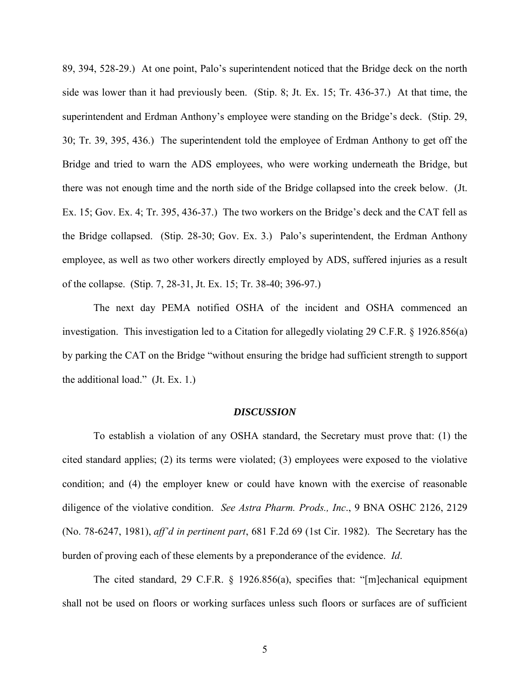89, 394, 528-29.) At one point, Palo's superintendent noticed that the Bridge deck on the north side was lower than it had previously been. (Stip. 8; Jt. Ex. 15; Tr. 436-37.) At that time, the superintendent and Erdman Anthony's employee were standing on the Bridge's deck. (Stip. 29, 30; Tr. 39, 395, 436.) The superintendent told the employee of Erdman Anthony to get off the Bridge and tried to warn the ADS employees, who were working underneath the Bridge, but there was not enough time and the north side of the Bridge collapsed into the creek below. (Jt. Ex. 15; Gov. Ex. 4; Tr. 395, 436-37.) The two workers on the Bridge's deck and the CAT fell as the Bridge collapsed. (Stip. 28-30; Gov. Ex. 3.) Palo's superintendent, the Erdman Anthony employee, as well as two other workers directly employed by ADS, suffered injuries as a result of the collapse. (Stip. 7, 28-31, Jt. Ex. 15; Tr. 38-40; 396-97.)

The next day PEMA notified OSHA of the incident and OSHA commenced an investigation. This investigation led to a Citation for allegedly violating 29 C.F.R. § 1926.856(a) by parking the CAT on the Bridge "without ensuring the bridge had sufficient strength to support the additional load." (Jt. Ex. 1.)

#### *DISCUSSION*

To establish a violation of any OSHA standard, the Secretary must prove that: (1) the cited standard applies; (2) its terms were violated; (3) employees were exposed to the violative condition; and (4) the employer knew or could have known with the exercise of reasonable diligence of the violative condition. *See Astra Pharm. Prods., Inc*., 9 BNA OSHC 2126, 2129 (No. 78-6247, 1981), *aff'd in pertinent part*, 681 F.2d 69 (1st Cir. 1982). The Secretary has the burden of proving each of these elements by a preponderance of the evidence. *Id*.

The cited standard, 29 C.F.R. § 1926.856(a), specifies that: "[m]echanical equipment shall not be used on floors or working surfaces unless such floors or surfaces are of sufficient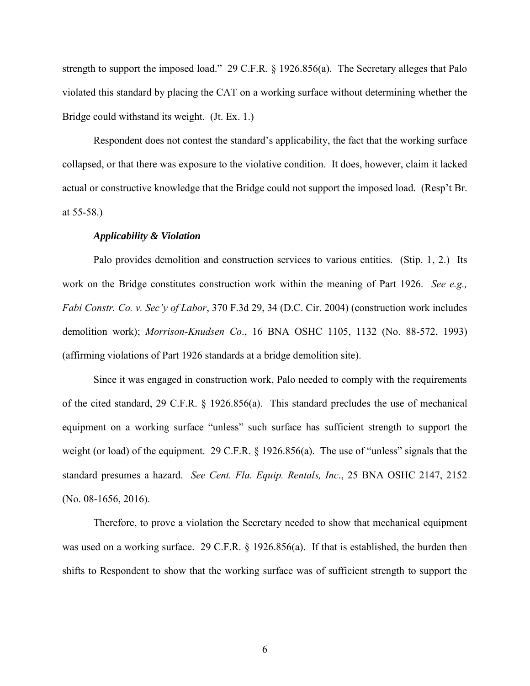strength to support the imposed load." 29 C.F.R. § 1926.856(a). The Secretary alleges that Palo violated this standard by placing the CAT on a working surface without determining whether the Bridge could withstand its weight. (Jt. Ex. 1.)

Respondent does not contest the standard's applicability, the fact that the working surface collapsed, or that there was exposure to the violative condition. It does, however, claim it lacked actual or constructive knowledge that the Bridge could not support the imposed load. (Resp't Br. at 55-58.)

#### *Applicability & Violation*

Palo provides demolition and construction services to various entities. (Stip. 1, 2.) Its work on the Bridge constitutes construction work within the meaning of Part 1926. *See e.g., Fabi Constr. Co. v. Sec'y of Labor*, 370 F.3d 29, 34 (D.C. Cir. 2004) (construction work includes demolition work); *Morrison-Knudsen Co*., 16 BNA OSHC 1105, 1132 (No. 88-572, 1993) (affirming violations of Part 1926 standards at a bridge demolition site).

Since it was engaged in construction work, Palo needed to comply with the requirements of the cited standard, 29 C.F.R. § 1926.856(a). This standard precludes the use of mechanical equipment on a working surface "unless" such surface has sufficient strength to support the weight (or load) of the equipment. 29 C.F.R. § 1926.856(a). The use of "unless" signals that the standard presumes a hazard. *See Cent. Fla. Equip. Rentals, Inc*., 25 BNA OSHC 2147, 2152 (No. 08-1656, 2016).

Therefore, to prove a violation the Secretary needed to show that mechanical equipment was used on a working surface. 29 C.F.R. § 1926.856(a). If that is established, the burden then shifts to Respondent to show that the working surface was of sufficient strength to support the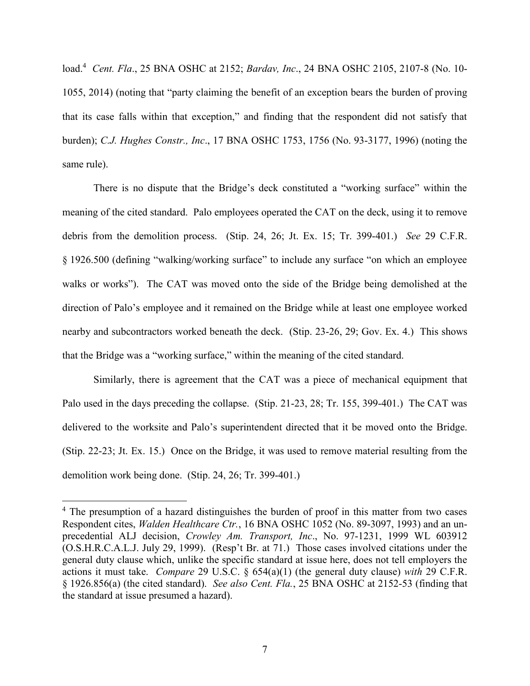load.<sup>4</sup> *Cent. Fla*., 25 BNA OSHC at 2152; *Bardav, Inc*., 24 BNA OSHC 2105, 2107-8 (No. 10- 1055, 2014) (noting that "party claiming the benefit of an exception bears the burden of proving that its case falls within that exception," and finding that the respondent did not satisfy that burden); *C.J. Hughes Constr., Inc*., 17 BNA OSHC 1753, 1756 (No. 93-3177, 1996) (noting the same rule).

There is no dispute that the Bridge's deck constituted a "working surface" within the meaning of the cited standard. Palo employees operated the CAT on the deck, using it to remove debris from the demolition process. (Stip. 24, 26; Jt. Ex. 15; Tr. 399-401.) *See* 29 C.F.R. § 1926.500 (defining "walking/working surface" to include any surface "on which an employee walks or works"). The CAT was moved onto the side of the Bridge being demolished at the direction of Palo's employee and it remained on the Bridge while at least one employee worked nearby and subcontractors worked beneath the deck. (Stip. 23-26, 29; Gov. Ex. 4.) This shows that the Bridge was a "working surface," within the meaning of the cited standard.

Similarly, there is agreement that the CAT was a piece of mechanical equipment that Palo used in the days preceding the collapse. (Stip. 21-23, 28; Tr. 155, 399-401.) The CAT was delivered to the worksite and Palo's superintendent directed that it be moved onto the Bridge. (Stip. 22-23; Jt. Ex. 15.) Once on the Bridge, it was used to remove material resulting from the demolition work being done. (Stip. 24, 26; Tr. 399-401.)

<sup>&</sup>lt;sup>4</sup> The presumption of a hazard distinguishes the burden of proof in this matter from two cases Respondent cites, *Walden Healthcare Ctr.*, 16 BNA OSHC 1052 (No. 89-3097, 1993) and an unprecedential ALJ decision, *Crowley Am. Transport, Inc*., No. 97-1231, 1999 WL 603912 (O.S.H.R.C.A.L.J. July 29, 1999). (Resp't Br. at 71.) Those cases involved citations under the general duty clause which, unlike the specific standard at issue here, does not tell employers the actions it must take. *Compare* 29 U.S.C. § 654(a)(1) (the general duty clause) *with* 29 C.F.R. § 1926.856(a) (the cited standard). *See also Cent. Fla.*, 25 BNA OSHC at 2152-53 (finding that the standard at issue presumed a hazard).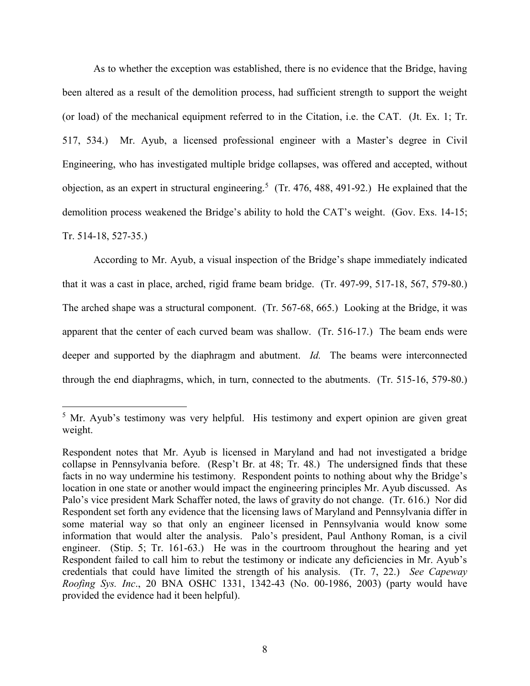As to whether the exception was established, there is no evidence that the Bridge, having been altered as a result of the demolition process, had sufficient strength to support the weight (or load) of the mechanical equipment referred to in the Citation, i.e. the CAT. (Jt. Ex. 1; Tr. 517, 534.) Mr. Ayub, a licensed professional engineer with a Master's degree in Civil Engineering, who has investigated multiple bridge collapses, was offered and accepted, without objection, as an expert in structural engineering.<sup>5</sup> (Tr. 476, 488, 491-92.) He explained that the demolition process weakened the Bridge's ability to hold the CAT's weight. (Gov. Exs. 14-15; Tr. 514-18, 527-35.)

According to Mr. Ayub, a visual inspection of the Bridge's shape immediately indicated that it was a cast in place, arched, rigid frame beam bridge. (Tr. 497-99, 517-18, 567, 579-80.) The arched shape was a structural component. (Tr. 567-68, 665.) Looking at the Bridge, it was apparent that the center of each curved beam was shallow. (Tr. 516-17.) The beam ends were deeper and supported by the diaphragm and abutment. *Id.* The beams were interconnected through the end diaphragms, which, in turn, connected to the abutments. (Tr. 515-16, 579-80.)

<sup>&</sup>lt;sup>5</sup> Mr. Ayub's testimony was very helpful. His testimony and expert opinion are given great weight.

Respondent notes that Mr. Ayub is licensed in Maryland and had not investigated a bridge collapse in Pennsylvania before. (Resp't Br. at 48; Tr. 48.) The undersigned finds that these facts in no way undermine his testimony. Respondent points to nothing about why the Bridge's location in one state or another would impact the engineering principles Mr. Ayub discussed. As Palo's vice president Mark Schaffer noted, the laws of gravity do not change. (Tr. 616.) Nor did Respondent set forth any evidence that the licensing laws of Maryland and Pennsylvania differ in some material way so that only an engineer licensed in Pennsylvania would know some information that would alter the analysis. Palo's president, Paul Anthony Roman, is a civil engineer. (Stip. 5; Tr. 161-63.) He was in the courtroom throughout the hearing and yet Respondent failed to call him to rebut the testimony or indicate any deficiencies in Mr. Ayub's credentials that could have limited the strength of his analysis. (Tr. 7, 22.) *See Capeway Roofing Sys. Inc*., 20 BNA OSHC 1331, 1342-43 (No. 00-1986, 2003) (party would have provided the evidence had it been helpful).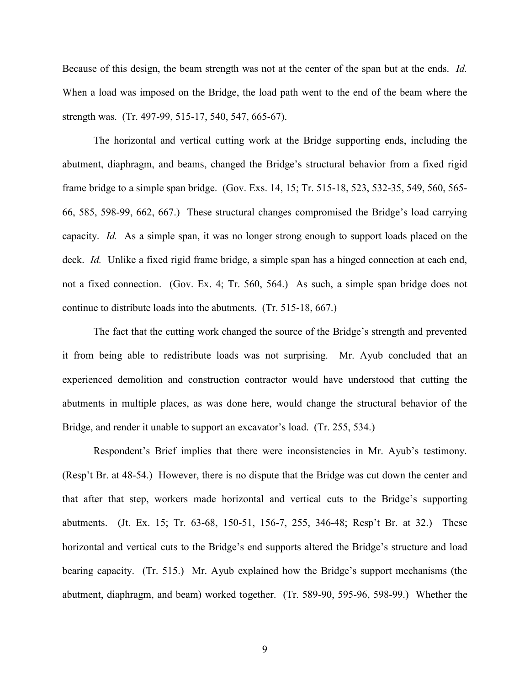Because of this design, the beam strength was not at the center of the span but at the ends. *Id.*  When a load was imposed on the Bridge, the load path went to the end of the beam where the strength was. (Tr. 497-99, 515-17, 540, 547, 665-67).

The horizontal and vertical cutting work at the Bridge supporting ends, including the abutment, diaphragm, and beams, changed the Bridge's structural behavior from a fixed rigid frame bridge to a simple span bridge. (Gov. Exs. 14, 15; Tr. 515-18, 523, 532-35, 549, 560, 565- 66, 585, 598-99, 662, 667.) These structural changes compromised the Bridge's load carrying capacity. *Id.* As a simple span, it was no longer strong enough to support loads placed on the deck. *Id.* Unlike a fixed rigid frame bridge, a simple span has a hinged connection at each end, not a fixed connection. (Gov. Ex. 4; Tr. 560, 564.) As such, a simple span bridge does not continue to distribute loads into the abutments.(Tr. 515-18, 667.)

The fact that the cutting work changed the source of the Bridge's strength and prevented it from being able to redistribute loads was not surprising. Mr. Ayub concluded that an experienced demolition and construction contractor would have understood that cutting the abutments in multiple places, as was done here, would change the structural behavior of the Bridge, and render it unable to support an excavator's load. (Tr. 255, 534.)

Respondent's Brief implies that there were inconsistencies in Mr. Ayub's testimony. (Resp't Br. at 48-54.) However, there is no dispute that the Bridge was cut down the center and that after that step, workers made horizontal and vertical cuts to the Bridge's supporting abutments. (Jt. Ex. 15; Tr. 63-68, 150-51, 156-7, 255, 346-48; Resp't Br. at 32.) These horizontal and vertical cuts to the Bridge's end supports altered the Bridge's structure and load bearing capacity. (Tr. 515.) Mr. Ayub explained how the Bridge's support mechanisms (the abutment, diaphragm, and beam) worked together. (Tr. 589-90, 595-96, 598-99.) Whether the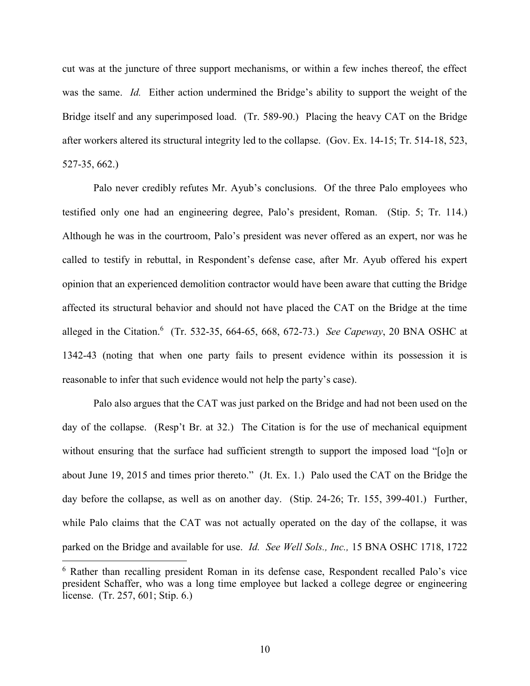cut was at the juncture of three support mechanisms, or within a few inches thereof, the effect was the same. *Id.* Either action undermined the Bridge's ability to support the weight of the Bridge itself and any superimposed load. (Tr. 589-90.) Placing the heavy CAT on the Bridge after workers altered its structural integrity led to the collapse. (Gov. Ex. 14-15; Tr. 514-18, 523, 527-35, 662.)

Palo never credibly refutes Mr. Ayub's conclusions. Of the three Palo employees who testified only one had an engineering degree, Palo's president, Roman. (Stip. 5; Tr. 114.) Although he was in the courtroom, Palo's president was never offered as an expert, nor was he called to testify in rebuttal, in Respondent's defense case, after Mr. Ayub offered his expert opinion that an experienced demolition contractor would have been aware that cutting the Bridge affected its structural behavior and should not have placed the CAT on the Bridge at the time alleged in the Citation. 6 (Tr. 532-35, 664-65, 668, 672-73.) *See Capeway*, 20 BNA OSHC at 1342-43 (noting that when one party fails to present evidence within its possession it is reasonable to infer that such evidence would not help the party's case).

Palo also argues that the CAT was just parked on the Bridge and had not been used on the day of the collapse. (Resp't Br. at 32.) The Citation is for the use of mechanical equipment without ensuring that the surface had sufficient strength to support the imposed load "[o]n or about June 19, 2015 and times prior thereto." (Jt. Ex. 1.) Palo used the CAT on the Bridge the day before the collapse, as well as on another day. (Stip. 24-26; Tr. 155, 399-401.) Further, while Palo claims that the CAT was not actually operated on the day of the collapse, it was parked on the Bridge and available for use. *Id. See Well Sols., Inc.,* 15 BNA OSHC 1718, 1722

<sup>&</sup>lt;sup>6</sup> Rather than recalling president Roman in its defense case, Respondent recalled Palo's vice president Schaffer, who was a long time employee but lacked a college degree or engineering license. (Tr. 257, 601; Stip. 6.)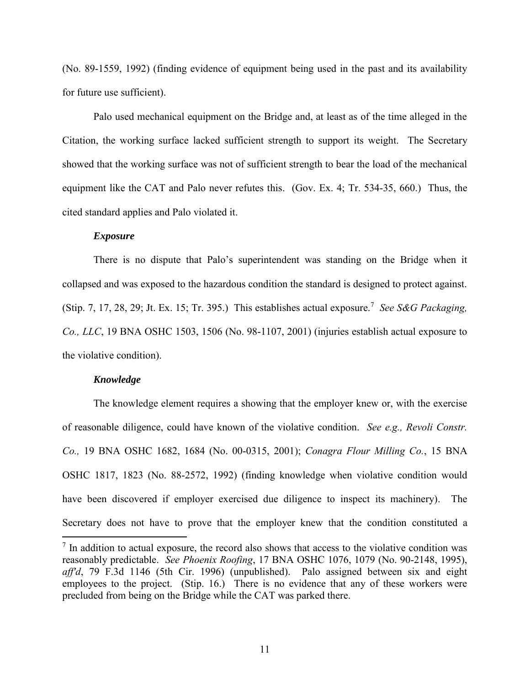(No. 89-1559, 1992) (finding evidence of equipment being used in the past and its availability for future use sufficient).

Palo used mechanical equipment on the Bridge and, at least as of the time alleged in the Citation, the working surface lacked sufficient strength to support its weight. The Secretary showed that the working surface was not of sufficient strength to bear the load of the mechanical equipment like the CAT and Palo never refutes this. (Gov. Ex. 4; Tr. 534-35, 660.) Thus, the cited standard applies and Palo violated it.

# *Exposure*

There is no dispute that Palo's superintendent was standing on the Bridge when it collapsed and was exposed to the hazardous condition the standard is designed to protect against. (Stip. 7, 17, 28, 29; Jt. Ex. 15; Tr. 395.) This establishes actual exposure.<sup>7</sup> *See S&G Packaging, Co., LLC*, 19 BNA OSHC 1503, 1506 (No. 98-1107, 2001) (injuries establish actual exposure to the violative condition).

#### *Knowledge*

 $\overline{a}$ 

The knowledge element requires a showing that the employer knew or, with the exercise of reasonable diligence, could have known of the violative condition. *See e.g., Revoli Constr. Co.,* 19 BNA OSHC 1682, 1684 (No. 00-0315, 2001); *Conagra Flour Milling Co.*, 15 BNA OSHC 1817, 1823 (No. 88-2572, 1992) (finding knowledge when violative condition would have been discovered if employer exercised due diligence to inspect its machinery). The Secretary does not have to prove that the employer knew that the condition constituted a

 $<sup>7</sup>$  In addition to actual exposure, the record also shows that access to the violative condition was</sup> reasonably predictable. *See Phoenix Roofing*, 17 BNA OSHC 1076, 1079 (No. 90-2148, 1995), *aff'd*, 79 F.3d 1146 (5th Cir. 1996) (unpublished). Palo assigned between six and eight employees to the project. (Stip. 16.) There is no evidence that any of these workers were precluded from being on the Bridge while the CAT was parked there.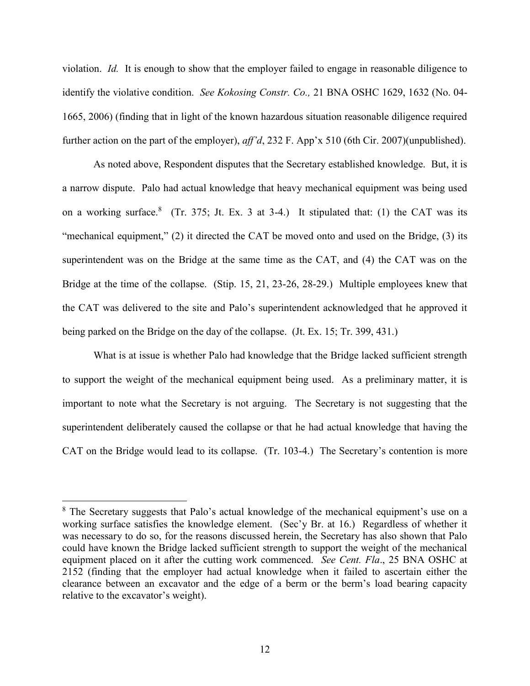violation. *Id.* It is enough to show that the employer failed to engage in reasonable diligence to identify the violative condition. *See Kokosing Constr. Co.,* 21 BNA OSHC 1629, 1632 (No. 04- 1665, 2006) (finding that in light of the known hazardous situation reasonable diligence required further action on the part of the employer), *aff'd*, 232 F. App'x 510 (6th Cir. 2007)(unpublished).

As noted above, Respondent disputes that the Secretary established knowledge. But, it is a narrow dispute. Palo had actual knowledge that heavy mechanical equipment was being used on a working surface.<sup>8</sup> (Tr. 375; Jt. Ex. 3 at 3-4.) It stipulated that: (1) the CAT was its "mechanical equipment," (2) it directed the CAT be moved onto and used on the Bridge, (3) its superintendent was on the Bridge at the same time as the CAT, and (4) the CAT was on the Bridge at the time of the collapse. (Stip. 15, 21, 23-26, 28-29.) Multiple employees knew that the CAT was delivered to the site and Palo's superintendent acknowledged that he approved it being parked on the Bridge on the day of the collapse. (Jt. Ex. 15; Tr. 399, 431.)

What is at issue is whether Palo had knowledge that the Bridge lacked sufficient strength to support the weight of the mechanical equipment being used. As a preliminary matter, it is important to note what the Secretary is not arguing. The Secretary is not suggesting that the superintendent deliberately caused the collapse or that he had actual knowledge that having the CAT on the Bridge would lead to its collapse. (Tr. 103-4.) The Secretary's contention is more

<sup>&</sup>lt;sup>8</sup> The Secretary suggests that Palo's actual knowledge of the mechanical equipment's use on a working surface satisfies the knowledge element. (Sec'y Br. at 16.) Regardless of whether it was necessary to do so, for the reasons discussed herein, the Secretary has also shown that Palo could have known the Bridge lacked sufficient strength to support the weight of the mechanical equipment placed on it after the cutting work commenced. *See Cent. Fla*., 25 BNA OSHC at 2152 (finding that the employer had actual knowledge when it failed to ascertain either the clearance between an excavator and the edge of a berm or the berm's load bearing capacity relative to the excavator's weight).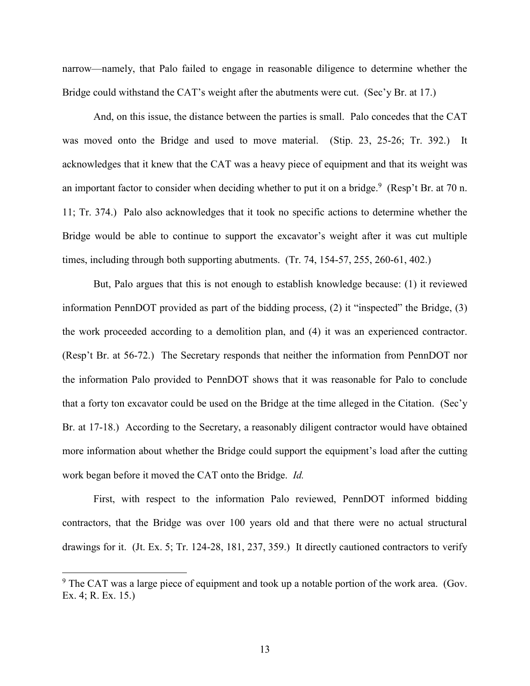narrow—namely, that Palo failed to engage in reasonable diligence to determine whether the Bridge could withstand the CAT's weight after the abutments were cut. (Sec'y Br. at 17.)

And, on this issue, the distance between the parties is small. Palo concedes that the CAT was moved onto the Bridge and used to move material. (Stip. 23, 25-26; Tr. 392.) It acknowledges that it knew that the CAT was a heavy piece of equipment and that its weight was an important factor to consider when deciding whether to put it on a bridge.<sup>9</sup> (Resp't Br. at 70 n. 11; Tr. 374.) Palo also acknowledges that it took no specific actions to determine whether the Bridge would be able to continue to support the excavator's weight after it was cut multiple times, including through both supporting abutments. (Tr. 74, 154-57, 255, 260-61, 402.)

But, Palo argues that this is not enough to establish knowledge because: (1) it reviewed information PennDOT provided as part of the bidding process, (2) it "inspected" the Bridge, (3) the work proceeded according to a demolition plan, and (4) it was an experienced contractor. (Resp't Br. at 56-72.) The Secretary responds that neither the information from PennDOT nor the information Palo provided to PennDOT shows that it was reasonable for Palo to conclude that a forty ton excavator could be used on the Bridge at the time alleged in the Citation. (Sec'y Br. at 17-18.) According to the Secretary, a reasonably diligent contractor would have obtained more information about whether the Bridge could support the equipment's load after the cutting work began before it moved the CAT onto the Bridge. *Id.*

First, with respect to the information Palo reviewed, PennDOT informed bidding contractors, that the Bridge was over 100 years old and that there were no actual structural drawings for it. (Jt. Ex. 5; Tr. 124-28, 181, 237, 359.) It directly cautioned contractors to verify

 $9^9$  The CAT was a large piece of equipment and took up a notable portion of the work area. (Gov. Ex. 4; R. Ex. 15.)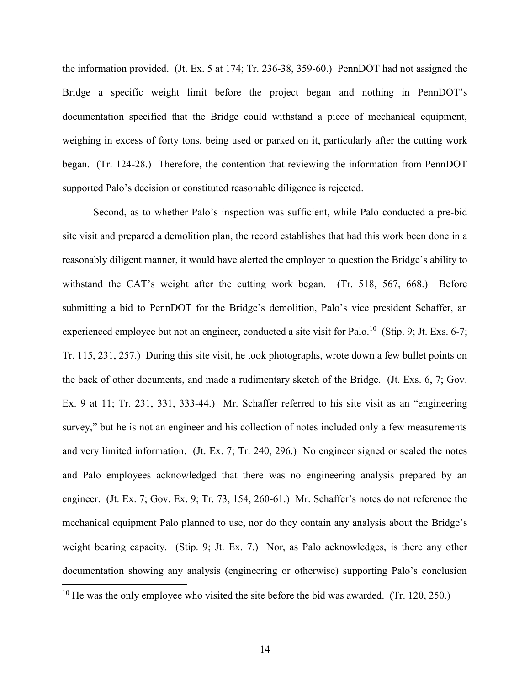the information provided. (Jt. Ex. 5 at 174; Tr. 236-38, 359-60.) PennDOT had not assigned the Bridge a specific weight limit before the project began and nothing in PennDOT's documentation specified that the Bridge could withstand a piece of mechanical equipment, weighing in excess of forty tons, being used or parked on it, particularly after the cutting work began. (Tr. 124-28.) Therefore, the contention that reviewing the information from PennDOT supported Palo's decision or constituted reasonable diligence is rejected.

Second, as to whether Palo's inspection was sufficient, while Palo conducted a pre-bid site visit and prepared a demolition plan, the record establishes that had this work been done in a reasonably diligent manner, it would have alerted the employer to question the Bridge's ability to withstand the CAT's weight after the cutting work began. (Tr. 518, 567, 668.) Before submitting a bid to PennDOT for the Bridge's demolition, Palo's vice president Schaffer, an experienced employee but not an engineer, conducted a site visit for Palo.<sup>10</sup> (Stip. 9; Jt. Exs. 6-7; Tr. 115, 231, 257.) During this site visit, he took photographs, wrote down a few bullet points on the back of other documents, and made a rudimentary sketch of the Bridge. (Jt. Exs. 6, 7; Gov. Ex. 9 at 11; Tr. 231, 331, 333-44.) Mr. Schaffer referred to his site visit as an "engineering survey," but he is not an engineer and his collection of notes included only a few measurements and very limited information. (Jt. Ex. 7; Tr. 240, 296.) No engineer signed or sealed the notes and Palo employees acknowledged that there was no engineering analysis prepared by an engineer. (Jt. Ex. 7; Gov. Ex. 9; Tr. 73, 154, 260-61.) Mr. Schaffer's notes do not reference the mechanical equipment Palo planned to use, nor do they contain any analysis about the Bridge's weight bearing capacity. (Stip. 9; Jt. Ex. 7.) Nor, as Palo acknowledges, is there any other documentation showing any analysis (engineering or otherwise) supporting Palo's conclusion  $\overline{a}$  $10$  He was the only employee who visited the site before the bid was awarded. (Tr. 120, 250.)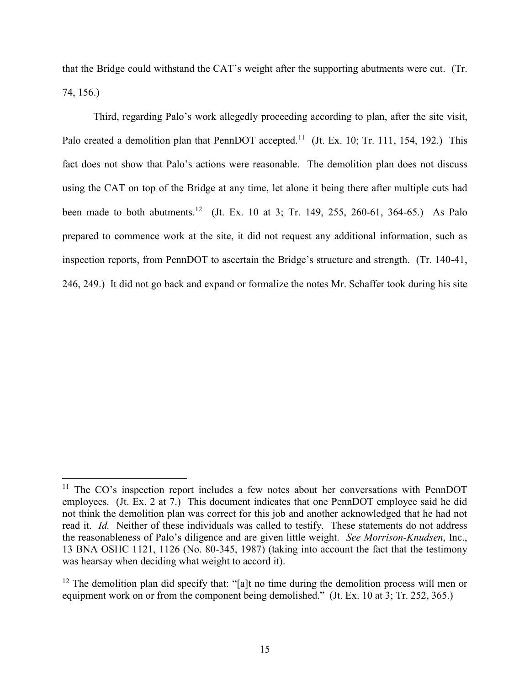that the Bridge could withstand the CAT's weight after the supporting abutments were cut. (Tr. 74, 156.)

Third, regarding Palo's work allegedly proceeding according to plan, after the site visit, Palo created a demolition plan that PennDOT accepted.<sup>11</sup> (Jt. Ex. 10; Tr. 111, 154, 192.) This fact does not show that Palo's actions were reasonable. The demolition plan does not discuss using the CAT on top of the Bridge at any time, let alone it being there after multiple cuts had been made to both abutments.<sup>12</sup> (Jt. Ex. 10 at 3; Tr. 149, 255, 260-61, 364-65.) As Palo prepared to commence work at the site, it did not request any additional information, such as inspection reports, from PennDOT to ascertain the Bridge's structure and strength. (Tr. 140-41, 246, 249.) It did not go back and expand or formalize the notes Mr. Schaffer took during his site

<sup>&</sup>lt;sup>11</sup> The CO's inspection report includes a few notes about her conversations with PennDOT employees. (Jt. Ex. 2 at 7.) This document indicates that one PennDOT employee said he did not think the demolition plan was correct for this job and another acknowledged that he had not read it. *Id.* Neither of these individuals was called to testify. These statements do not address the reasonableness of Palo's diligence and are given little weight. *See Morrison-Knudsen*, Inc., 13 BNA OSHC 1121, 1126 (No. 80-345, 1987) (taking into account the fact that the testimony was hearsay when deciding what weight to accord it).

 $12$  The demolition plan did specify that: "[a]t no time during the demolition process will men or equipment work on or from the component being demolished." (Jt. Ex. 10 at 3; Tr. 252, 365.)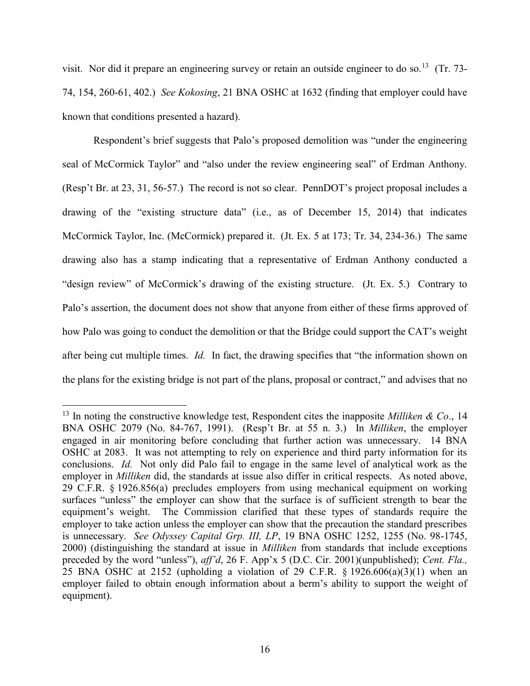visit. Nor did it prepare an engineering survey or retain an outside engineer to do so.<sup>13</sup> (Tr. 73-74, 154, 260-61, 402.) *See Kokosing*, 21 BNA OSHC at 1632 (finding that employer could have known that conditions presented a hazard).

Respondent's brief suggests that Palo's proposed demolition was "under the engineering seal of McCormick Taylor" and "also under the review engineering seal" of Erdman Anthony. (Resp't Br. at 23, 31, 56-57.) The record is not so clear. PennDOT's project proposal includes a drawing of the "existing structure data" (i.e., as of December 15, 2014) that indicates McCormick Taylor, Inc. (McCormick) prepared it. (Jt. Ex. 5 at 173; Tr. 34, 234-36.) The same drawing also has a stamp indicating that a representative of Erdman Anthony conducted a "design review" of McCormick's drawing of the existing structure. (Jt. Ex. 5.) Contrary to Palo's assertion, the document does not show that anyone from either of these firms approved of how Palo was going to conduct the demolition or that the Bridge could support the CAT's weight after being cut multiple times. *Id.* In fact, the drawing specifies that "the information shown on the plans for the existing bridge is not part of the plans, proposal or contract," and advises that no

<sup>13</sup> In noting the constructive knowledge test, Respondent cites the inapposite *Milliken & Co*., 14 BNA OSHC 2079 (No. 84-767, 1991). (Resp't Br. at 55 n. 3.) In *Milliken*, the employer engaged in air monitoring before concluding that further action was unnecessary. 14 BNA OSHC at 2083. It was not attempting to rely on experience and third party information for its conclusions. *Id.* Not only did Palo fail to engage in the same level of analytical work as the employer in *Milliken* did, the standards at issue also differ in critical respects. As noted above, 29 C.F.R. § 1926.856(a) precludes employers from using mechanical equipment on working surfaces "unless" the employer can show that the surface is of sufficient strength to bear the equipment's weight. The Commission clarified that these types of standards require the employer to take action unless the employer can show that the precaution the standard prescribes is unnecessary. *See Odyssey Capital Grp. III, LP*, 19 BNA OSHC 1252, 1255 (No. 98-1745, 2000) (distinguishing the standard at issue in *Milliken* from standards that include exceptions preceded by the word "unless"), *aff'd*, 26 F. App'x 5 (D.C. Cir. 2001)(unpublished); *Cent. Fla.,* 25 BNA OSHC at 2152 (upholding a violation of 29 C.F.R.  $\S$  1926.606(a)(3)(1) when an employer failed to obtain enough information about a berm's ability to support the weight of equipment).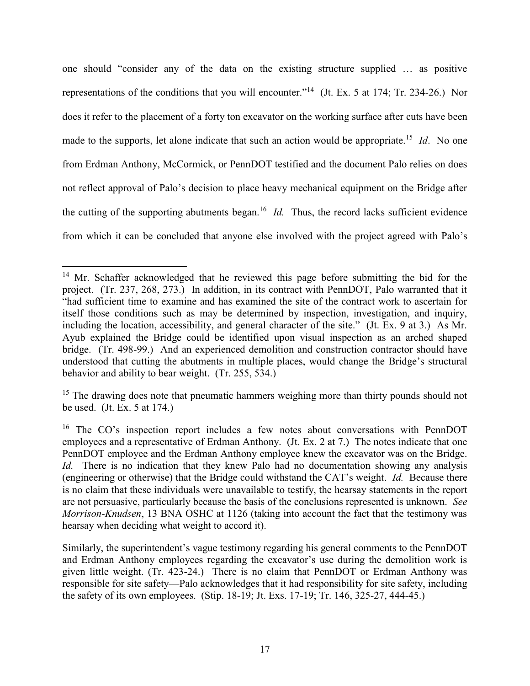one should "consider any of the data on the existing structure supplied … as positive representations of the conditions that you will encounter."<sup>14</sup> (Jt. Ex. 5 at 174; Tr. 234-26.) Nor does it refer to the placement of a forty ton excavator on the working surface after cuts have been made to the supports, let alone indicate that such an action would be appropriate.<sup>15</sup> *Id*. No one from Erdman Anthony, McCormick, or PennDOT testified and the document Palo relies on does not reflect approval of Palo's decision to place heavy mechanical equipment on the Bridge after the cutting of the supporting abutments began. 16 *Id.* Thus, the record lacks sufficient evidence from which it can be concluded that anyone else involved with the project agreed with Palo's

<sup>&</sup>lt;sup>14</sup> Mr. Schaffer acknowledged that he reviewed this page before submitting the bid for the project. (Tr. 237, 268, 273.) In addition, in its contract with PennDOT, Palo warranted that it "had sufficient time to examine and has examined the site of the contract work to ascertain for itself those conditions such as may be determined by inspection, investigation, and inquiry, including the location, accessibility, and general character of the site." (Jt. Ex. 9 at 3.) As Mr. Ayub explained the Bridge could be identified upon visual inspection as an arched shaped bridge. (Tr. 498-99.) And an experienced demolition and construction contractor should have understood that cutting the abutments in multiple places, would change the Bridge's structural behavior and ability to bear weight. (Tr. 255, 534.)

<sup>&</sup>lt;sup>15</sup> The drawing does note that pneumatic hammers weighing more than thirty pounds should not be used. (Jt. Ex. 5 at 174.)

<sup>&</sup>lt;sup>16</sup> The CO's inspection report includes a few notes about conversations with PennDOT employees and a representative of Erdman Anthony. (Jt. Ex. 2 at 7.) The notes indicate that one PennDOT employee and the Erdman Anthony employee knew the excavator was on the Bridge. *Id.* There is no indication that they knew Palo had no documentation showing any analysis (engineering or otherwise) that the Bridge could withstand the CAT's weight. *Id.* Because there is no claim that these individuals were unavailable to testify, the hearsay statements in the report are not persuasive, particularly because the basis of the conclusions represented is unknown. *See Morrison-Knudsen*, 13 BNA OSHC at 1126 (taking into account the fact that the testimony was hearsay when deciding what weight to accord it).

Similarly, the superintendent's vague testimony regarding his general comments to the PennDOT and Erdman Anthony employees regarding the excavator's use during the demolition work is given little weight. (Tr. 423-24.) There is no claim that PennDOT or Erdman Anthony was responsible for site safety—Palo acknowledges that it had responsibility for site safety, including the safety of its own employees. (Stip. 18-19; Jt. Exs. 17-19; Tr. 146, 325-27, 444-45.)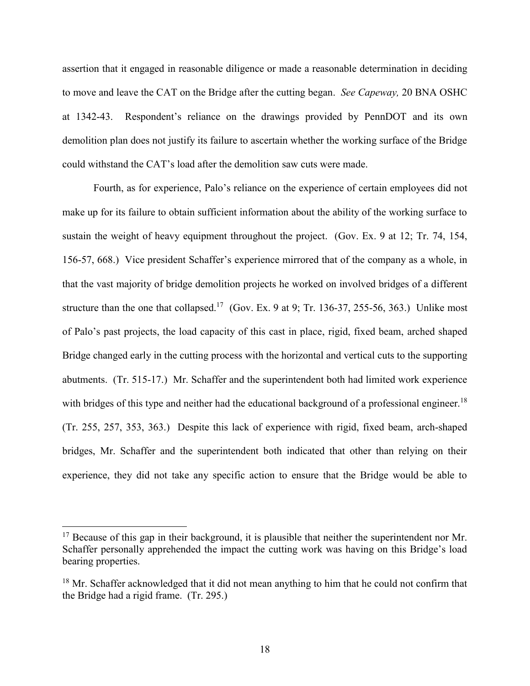assertion that it engaged in reasonable diligence or made a reasonable determination in deciding to move and leave the CAT on the Bridge after the cutting began. *See Capeway,* 20 BNA OSHC at 1342-43. Respondent's reliance on the drawings provided by PennDOT and its own demolition plan does not justify its failure to ascertain whether the working surface of the Bridge could withstand the CAT's load after the demolition saw cuts were made.

Fourth, as for experience, Palo's reliance on the experience of certain employees did not make up for its failure to obtain sufficient information about the ability of the working surface to sustain the weight of heavy equipment throughout the project. (Gov. Ex. 9 at 12; Tr. 74, 154, 156-57, 668.) Vice president Schaffer's experience mirrored that of the company as a whole, in that the vast majority of bridge demolition projects he worked on involved bridges of a different structure than the one that collapsed.<sup>17</sup> (Gov. Ex. 9 at 9; Tr. 136-37, 255-56, 363.) Unlike most of Palo's past projects, the load capacity of this cast in place, rigid, fixed beam, arched shaped Bridge changed early in the cutting process with the horizontal and vertical cuts to the supporting abutments. (Tr. 515-17.) Mr. Schaffer and the superintendent both had limited work experience with bridges of this type and neither had the educational background of a professional engineer.<sup>18</sup> (Tr. 255, 257, 353, 363.) Despite this lack of experience with rigid, fixed beam, arch-shaped bridges, Mr. Schaffer and the superintendent both indicated that other than relying on their experience, they did not take any specific action to ensure that the Bridge would be able to

 $17$  Because of this gap in their background, it is plausible that neither the superintendent nor Mr. Schaffer personally apprehended the impact the cutting work was having on this Bridge's load bearing properties.

<sup>&</sup>lt;sup>18</sup> Mr. Schaffer acknowledged that it did not mean anything to him that he could not confirm that the Bridge had a rigid frame. (Tr. 295.)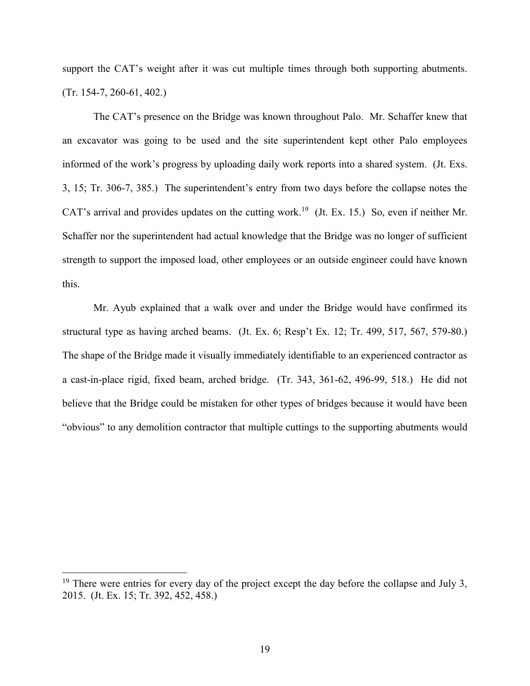support the CAT's weight after it was cut multiple times through both supporting abutments. (Tr. 154-7, 260-61, 402.)

The CAT's presence on the Bridge was known throughout Palo. Mr. Schaffer knew that an excavator was going to be used and the site superintendent kept other Palo employees informed of the work's progress by uploading daily work reports into a shared system. (Jt. Exs. 3, 15; Tr. 306-7, 385.) The superintendent's entry from two days before the collapse notes the CAT's arrival and provides updates on the cutting work.<sup>19</sup> (Jt. Ex. 15.) So, even if neither Mr. Schaffer nor the superintendent had actual knowledge that the Bridge was no longer of sufficient strength to support the imposed load, other employees or an outside engineer could have known this.

Mr. Ayub explained that a walk over and under the Bridge would have confirmed its structural type as having arched beams. (Jt. Ex. 6; Resp't Ex. 12; Tr. 499, 517, 567, 579-80.) The shape of the Bridge made it visually immediately identifiable to an experienced contractor as a cast-in-place rigid, fixed beam, arched bridge. (Tr. 343, 361-62, 496-99, 518.) He did not believe that the Bridge could be mistaken for other types of bridges because it would have been "obvious" to any demolition contractor that multiple cuttings to the supporting abutments would

<sup>&</sup>lt;sup>19</sup> There were entries for every day of the project except the day before the collapse and July 3, 2015. (Jt. Ex. 15; Tr. 392, 452, 458.)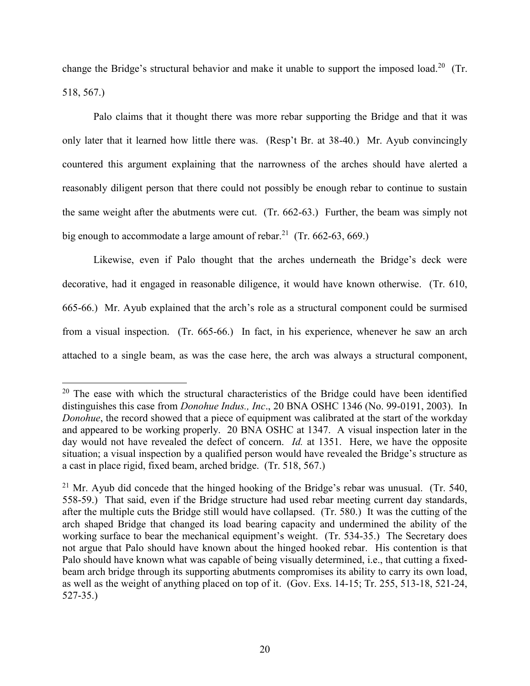change the Bridge's structural behavior and make it unable to support the imposed load.<sup>20</sup> (Tr. 518, 567.)

Palo claims that it thought there was more rebar supporting the Bridge and that it was only later that it learned how little there was. (Resp't Br. at 38-40.) Mr. Ayub convincingly countered this argument explaining that the narrowness of the arches should have alerted a reasonably diligent person that there could not possibly be enough rebar to continue to sustain the same weight after the abutments were cut. (Tr. 662-63.) Further, the beam was simply not big enough to accommodate a large amount of rebar.<sup>21</sup> (Tr. 662-63, 669.)

Likewise, even if Palo thought that the arches underneath the Bridge's deck were decorative, had it engaged in reasonable diligence, it would have known otherwise. (Tr. 610, 665-66.) Mr. Ayub explained that the arch's role as a structural component could be surmised from a visual inspection. (Tr. 665-66.) In fact, in his experience, whenever he saw an arch attached to a single beam, as was the case here, the arch was always a structural component,

 $20$  The ease with which the structural characteristics of the Bridge could have been identified distinguishes this case from *Donohue Indus., Inc*., 20 BNA OSHC 1346 (No. 99-0191, 2003). In *Donohue*, the record showed that a piece of equipment was calibrated at the start of the workday and appeared to be working properly. 20 BNA OSHC at 1347. A visual inspection later in the day would not have revealed the defect of concern. *Id.* at 1351. Here, we have the opposite situation; a visual inspection by a qualified person would have revealed the Bridge's structure as a cast in place rigid, fixed beam, arched bridge. (Tr. 518, 567.)

<sup>&</sup>lt;sup>21</sup> Mr. Ayub did concede that the hinged hooking of the Bridge's rebar was unusual. (Tr. 540, 558-59.) That said, even if the Bridge structure had used rebar meeting current day standards, after the multiple cuts the Bridge still would have collapsed. (Tr. 580.) It was the cutting of the arch shaped Bridge that changed its load bearing capacity and undermined the ability of the working surface to bear the mechanical equipment's weight. (Tr. 534-35.) The Secretary does not argue that Palo should have known about the hinged hooked rebar. His contention is that Palo should have known what was capable of being visually determined, i.e., that cutting a fixedbeam arch bridge through its supporting abutments compromises its ability to carry its own load, as well as the weight of anything placed on top of it. (Gov. Exs. 14-15; Tr. 255, 513-18, 521-24, 527-35.)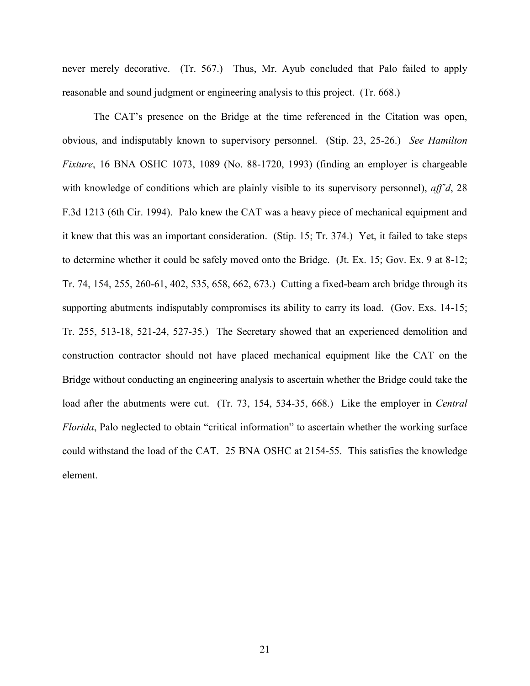never merely decorative. (Tr. 567.) Thus, Mr. Ayub concluded that Palo failed to apply reasonable and sound judgment or engineering analysis to this project. (Tr. 668.)

The CAT's presence on the Bridge at the time referenced in the Citation was open, obvious, and indisputably known to supervisory personnel. (Stip. 23, 25-26.) *See Hamilton Fixture*, 16 BNA OSHC 1073, 1089 (No. 88-1720, 1993) (finding an employer is chargeable with knowledge of conditions which are plainly visible to its supervisory personnel), *aff'd*, 28 F.3d 1213 (6th Cir. 1994). Palo knew the CAT was a heavy piece of mechanical equipment and it knew that this was an important consideration. (Stip. 15; Tr. 374.) Yet, it failed to take steps to determine whether it could be safely moved onto the Bridge. (Jt. Ex. 15; Gov. Ex. 9 at 8-12; Tr. 74, 154, 255, 260-61, 402, 535, 658, 662, 673.) Cutting a fixed-beam arch bridge through its supporting abutments indisputably compromises its ability to carry its load. (Gov. Exs. 14-15; Tr. 255, 513-18, 521-24, 527-35.) The Secretary showed that an experienced demolition and construction contractor should not have placed mechanical equipment like the CAT on the Bridge without conducting an engineering analysis to ascertain whether the Bridge could take the load after the abutments were cut. (Tr. 73, 154, 534-35, 668.) Like the employer in *Central Florida*, Palo neglected to obtain "critical information" to ascertain whether the working surface could withstand the load of the CAT. 25 BNA OSHC at 2154-55. This satisfies the knowledge element.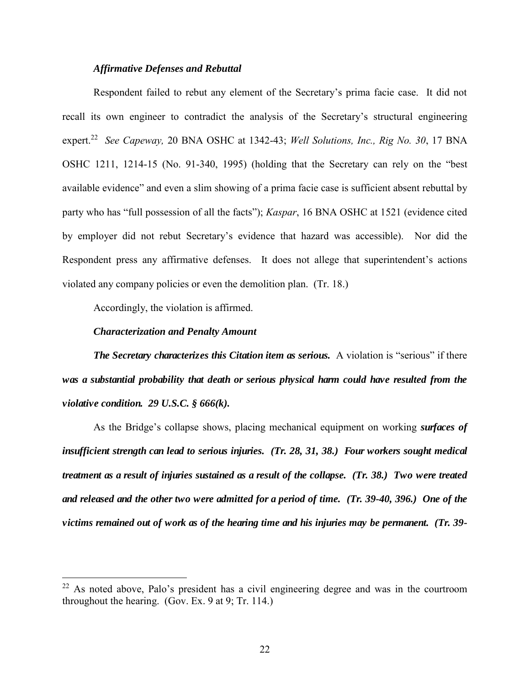### *Affirmative Defenses and Rebuttal*

Respondent failed to rebut any element of the Secretary's prima facie case. It did not recall its own engineer to contradict the analysis of the Secretary's structural engineering expert. 22 *See Capeway,* 20 BNA OSHC at 1342-43; *Well Solutions, Inc., Rig No. 30*, 17 BNA OSHC 1211, 1214-15 (No. 91-340, 1995) (holding that the Secretary can rely on the "best available evidence" and even a slim showing of a prima facie case is sufficient absent rebuttal by party who has "full possession of all the facts"); *Kaspar*, 16 BNA OSHC at 1521 (evidence cited by employer did not rebut Secretary's evidence that hazard was accessible). Nor did the Respondent press any affirmative defenses. It does not allege that superintendent's actions violated any company policies or even the demolition plan. (Tr. 18.)

Accordingly, the violation is affirmed.

#### *Characterization and Penalty Amount*

 $\overline{a}$ 

*The Secretary characterizes this Citation item as serious. A violation is "serious" if there was a substantial probability that death or serious physical harm could have resulted from the violative condition. 29 U.S.C. § 666(k).*

As the Bridge's collapse shows, placing mechanical equipment on working *surfaces of insufficient strength can lead to serious injuries. (Tr. 28, 31, 38.) Four workers sought medical treatment as a result of injuries sustained as a result of the collapse. (Tr. 38.) Two were treated and released and the other two were admitted for a period of time. (Tr. 39-40, 396.) One of the victims remained out of work as of the hearing time and his injuries may be permanent. (Tr. 39-*

 $22$  As noted above, Palo's president has a civil engineering degree and was in the courtroom throughout the hearing. (Gov. Ex. 9 at 9; Tr. 114.)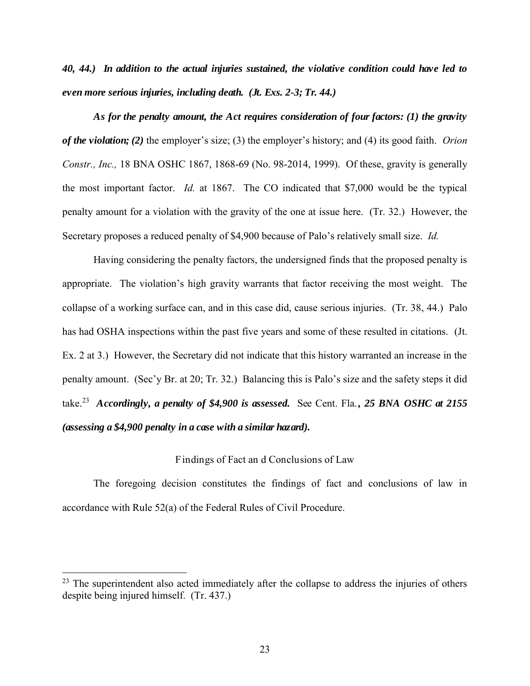*40, 44.) In addition to the actual injuries sustained, the violative condition could have led to even more serious injuries, including death. (Jt. Exs. 2-3; Tr. 44.)* 

*As for the penalty amount, the Act requires consideration of four factors: (1) the gravity of the violation; (2)* the employer's size; (3) the employer's history; and (4) its good faith. *Orion Constr., Inc.,* 18 BNA OSHC 1867, 1868-69 (No. 98-2014, 1999). Of these, gravity is generally the most important factor. *Id.* at 1867. The CO indicated that \$7,000 would be the typical penalty amount for a violation with the gravity of the one at issue here. (Tr. 32.) However, the Secretary proposes a reduced penalty of \$4,900 because of Palo's relatively small size. *Id.*

Having considering the penalty factors, the undersigned finds that the proposed penalty is appropriate. The violation's high gravity warrants that factor receiving the most weight. The collapse of a working surface can, and in this case did, cause serious injuries. (Tr. 38, 44.) Palo has had OSHA inspections within the past five years and some of these resulted in citations. (Jt. Ex. 2 at 3.) However, the Secretary did not indicate that this history warranted an increase in the penalty amount. (Sec'y Br. at 20; Tr. 32.) Balancing this is Palo's size and the safety steps it did take.<sup>23</sup> *Accordingly, a penalty of \$4,900 is assessed.* See Cent. Fla.*, 25 BNA OSHC at 2155 (assessing a \$4,900 penalty in a case with a similar hazard).* 

# Findings of Fact an d Conclusions of Law

The foregoing decision constitutes the findings of fact and conclusions of law in accordance with Rule 52(a) of the Federal Rules of Civil Procedure.

 $23$  The superintendent also acted immediately after the collapse to address the injuries of others despite being injured himself. (Tr. 437.)